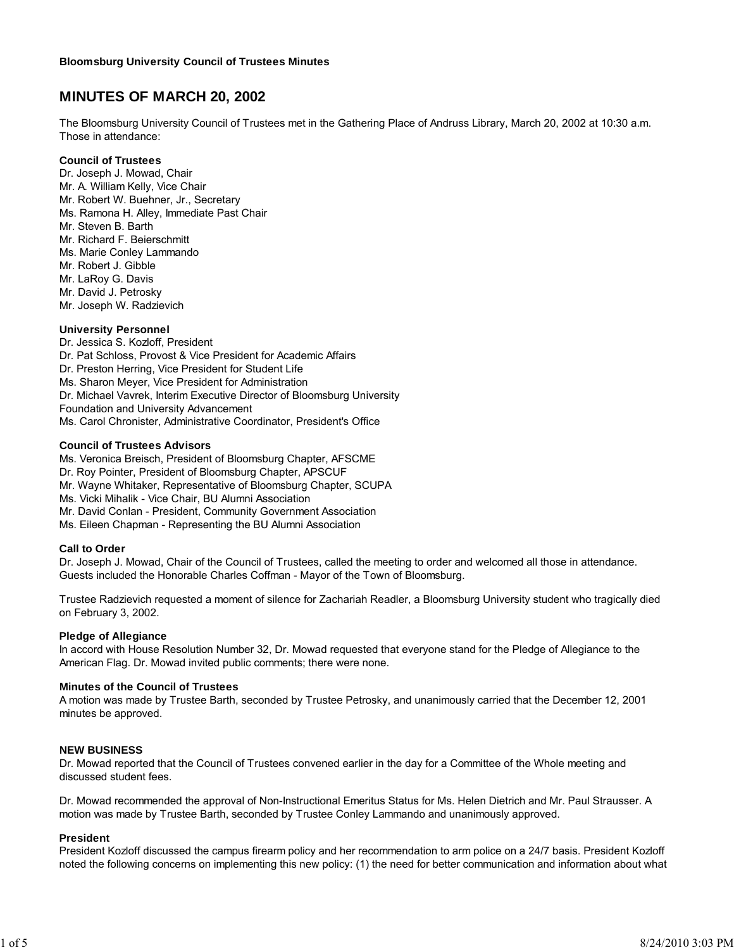# **MINUTES OF MARCH 20, 2002**

The Bloomsburg University Council of Trustees met in the Gathering Place of Andruss Library, March 20, 2002 at 10:30 a.m. Those in attendance:

#### **Council of Trustees**

Dr. Joseph J. Mowad, Chair Mr. A. William Kelly, Vice Chair Mr. Robert W. Buehner, Jr., Secretary Ms. Ramona H. Alley, Immediate Past Chair Mr. Steven B. Barth Mr. Richard F. Beierschmitt Ms. Marie Conley Lammando Mr. Robert J. Gibble Mr. LaRoy G. Davis Mr. David J. Petrosky Mr. Joseph W. Radzievich

## **University Personnel**

Dr. Jessica S. Kozloff, President Dr. Pat Schloss, Provost & Vice President for Academic Affairs Dr. Preston Herring, Vice President for Student Life Ms. Sharon Meyer, Vice President for Administration Dr. Michael Vavrek, Interim Executive Director of Bloomsburg University Foundation and University Advancement Ms. Carol Chronister, Administrative Coordinator, President's Office

#### **Council of Trustees Advisors**

Ms. Veronica Breisch, President of Bloomsburg Chapter, AFSCME

- Dr. Roy Pointer, President of Bloomsburg Chapter, APSCUF
- Mr. Wayne Whitaker, Representative of Bloomsburg Chapter, SCUPA
- Ms. Vicki Mihalik Vice Chair, BU Alumni Association
- Mr. David Conlan President, Community Government Association
- Ms. Eileen Chapman Representing the BU Alumni Association

#### **Call to Order**

Dr. Joseph J. Mowad, Chair of the Council of Trustees, called the meeting to order and welcomed all those in attendance. Guests included the Honorable Charles Coffman - Mayor of the Town of Bloomsburg.

Trustee Radzievich requested a moment of silence for Zachariah Readler, a Bloomsburg University student who tragically died on February 3, 2002.

#### **Pledge of Allegiance**

In accord with House Resolution Number 32, Dr. Mowad requested that everyone stand for the Pledge of Allegiance to the American Flag. Dr. Mowad invited public comments; there were none.

#### **Minutes of the Council of Trustees**

A motion was made by Trustee Barth, seconded by Trustee Petrosky, and unanimously carried that the December 12, 2001 minutes be approved.

### **NEW BUSINESS**

Dr. Mowad reported that the Council of Trustees convened earlier in the day for a Committee of the Whole meeting and discussed student fees.

Dr. Mowad recommended the approval of Non-Instructional Emeritus Status for Ms. Helen Dietrich and Mr. Paul Strausser. A motion was made by Trustee Barth, seconded by Trustee Conley Lammando and unanimously approved.

### **President**

President Kozloff discussed the campus firearm policy and her recommendation to arm police on a 24/7 basis. President Kozloff noted the following concerns on implementing this new policy: (1) the need for better communication and information about what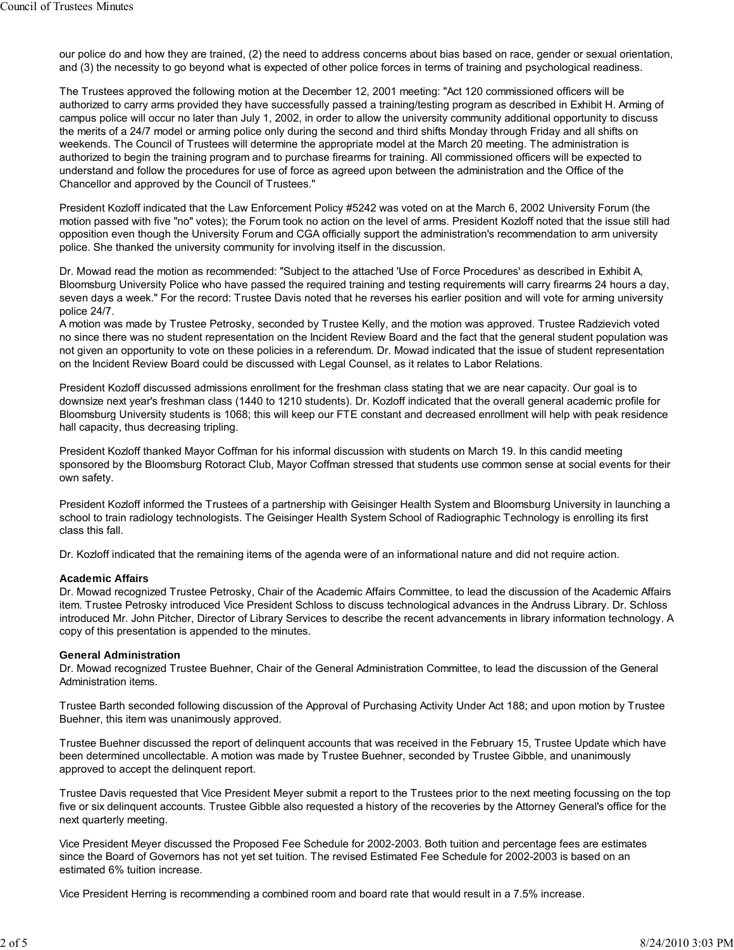our police do and how they are trained, (2) the need to address concerns about bias based on race, gender or sexual orientation, and (3) the necessity to go beyond what is expected of other police forces in terms of training and psychological readiness.

The Trustees approved the following motion at the December 12, 2001 meeting: "Act 120 commissioned officers will be authorized to carry arms provided they have successfully passed a training/testing program as described in Exhibit H. Arming of campus police will occur no later than July 1, 2002, in order to allow the university community additional opportunity to discuss the merits of a 24/7 model or arming police only during the second and third shifts Monday through Friday and all shifts on weekends. The Council of Trustees will determine the appropriate model at the March 20 meeting. The administration is authorized to begin the training program and to purchase firearms for training. All commissioned officers will be expected to understand and follow the procedures for use of force as agreed upon between the administration and the Office of the Chancellor and approved by the Council of Trustees."

President Kozloff indicated that the Law Enforcement Policy #5242 was voted on at the March 6, 2002 University Forum (the motion passed with five "no" votes); the Forum took no action on the level of arms. President Kozloff noted that the issue still had opposition even though the University Forum and CGA officially support the administration's recommendation to arm university police. She thanked the university community for involving itself in the discussion.

Dr. Mowad read the motion as recommended: "Subject to the attached 'Use of Force Procedures' as described in Exhibit A, Bloomsburg University Police who have passed the required training and testing requirements will carry firearms 24 hours a day, seven days a week." For the record: Trustee Davis noted that he reverses his earlier position and will vote for arming university police 24/7.

A motion was made by Trustee Petrosky, seconded by Trustee Kelly, and the motion was approved. Trustee Radzievich voted no since there was no student representation on the Incident Review Board and the fact that the general student population was not given an opportunity to vote on these policies in a referendum. Dr. Mowad indicated that the issue of student representation on the Incident Review Board could be discussed with Legal Counsel, as it relates to Labor Relations.

President Kozloff discussed admissions enrollment for the freshman class stating that we are near capacity. Our goal is to downsize next year's freshman class (1440 to 1210 students). Dr. Kozloff indicated that the overall general academic profile for Bloomsburg University students is 1068; this will keep our FTE constant and decreased enrollment will help with peak residence hall capacity, thus decreasing tripling.

President Kozloff thanked Mayor Coffman for his informal discussion with students on March 19. In this candid meeting sponsored by the Bloomsburg Rotoract Club, Mayor Coffman stressed that students use common sense at social events for their own safety.

President Kozloff informed the Trustees of a partnership with Geisinger Health System and Bloomsburg University in launching a school to train radiology technologists. The Geisinger Health System School of Radiographic Technology is enrolling its first class this fall.

Dr. Kozloff indicated that the remaining items of the agenda were of an informational nature and did not require action.

### **Academic Affairs**

Dr. Mowad recognized Trustee Petrosky, Chair of the Academic Affairs Committee, to lead the discussion of the Academic Affairs item. Trustee Petrosky introduced Vice President Schloss to discuss technological advances in the Andruss Library. Dr. Schloss introduced Mr. John Pitcher, Director of Library Services to describe the recent advancements in library information technology. A copy of this presentation is appended to the minutes.

### **General Administration**

Dr. Mowad recognized Trustee Buehner, Chair of the General Administration Committee, to lead the discussion of the General Administration items.

Trustee Barth seconded following discussion of the Approval of Purchasing Activity Under Act 188; and upon motion by Trustee Buehner, this item was unanimously approved.

Trustee Buehner discussed the report of delinquent accounts that was received in the February 15, Trustee Update which have been determined uncollectable. A motion was made by Trustee Buehner, seconded by Trustee Gibble, and unanimously approved to accept the delinquent report.

Trustee Davis requested that Vice President Meyer submit a report to the Trustees prior to the next meeting focussing on the top five or six delinquent accounts. Trustee Gibble also requested a history of the recoveries by the Attorney General's office for the next quarterly meeting.

Vice President Meyer discussed the Proposed Fee Schedule for 2002-2003. Both tuition and percentage fees are estimates since the Board of Governors has not yet set tuition. The revised Estimated Fee Schedule for 2002-2003 is based on an estimated 6% tuition increase.

Vice President Herring is recommending a combined room and board rate that would result in a 7.5% increase.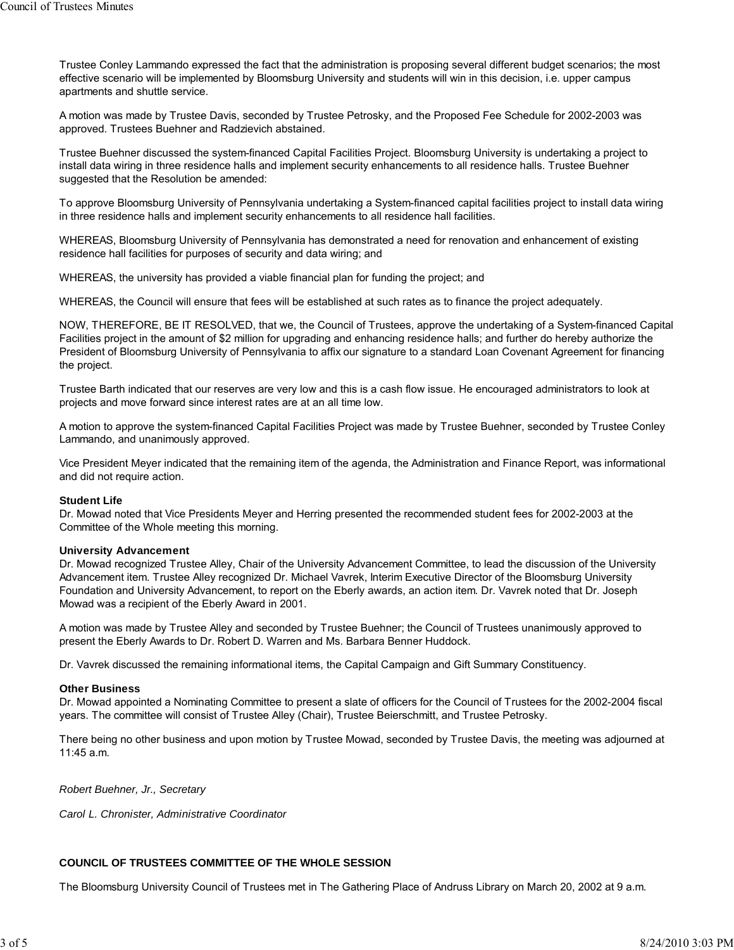Trustee Conley Lammando expressed the fact that the administration is proposing several different budget scenarios; the most effective scenario will be implemented by Bloomsburg University and students will win in this decision, i.e. upper campus apartments and shuttle service.

A motion was made by Trustee Davis, seconded by Trustee Petrosky, and the Proposed Fee Schedule for 2002-2003 was approved. Trustees Buehner and Radzievich abstained.

Trustee Buehner discussed the system-financed Capital Facilities Project. Bloomsburg University is undertaking a project to install data wiring in three residence halls and implement security enhancements to all residence halls. Trustee Buehner suggested that the Resolution be amended:

To approve Bloomsburg University of Pennsylvania undertaking a System-financed capital facilities project to install data wiring in three residence halls and implement security enhancements to all residence hall facilities.

WHEREAS, Bloomsburg University of Pennsylvania has demonstrated a need for renovation and enhancement of existing residence hall facilities for purposes of security and data wiring; and

WHEREAS, the university has provided a viable financial plan for funding the project; and

WHEREAS, the Council will ensure that fees will be established at such rates as to finance the project adequately.

NOW, THEREFORE, BE IT RESOLVED, that we, the Council of Trustees, approve the undertaking of a System-financed Capital Facilities project in the amount of \$2 million for upgrading and enhancing residence halls; and further do hereby authorize the President of Bloomsburg University of Pennsylvania to affix our signature to a standard Loan Covenant Agreement for financing the project.

Trustee Barth indicated that our reserves are very low and this is a cash flow issue. He encouraged administrators to look at projects and move forward since interest rates are at an all time low.

A motion to approve the system-financed Capital Facilities Project was made by Trustee Buehner, seconded by Trustee Conley Lammando, and unanimously approved.

Vice President Meyer indicated that the remaining item of the agenda, the Administration and Finance Report, was informational and did not require action.

#### **Student Life**

Dr. Mowad noted that Vice Presidents Meyer and Herring presented the recommended student fees for 2002-2003 at the Committee of the Whole meeting this morning.

#### **University Advancement**

Dr. Mowad recognized Trustee Alley, Chair of the University Advancement Committee, to lead the discussion of the University Advancement item. Trustee Alley recognized Dr. Michael Vavrek, Interim Executive Director of the Bloomsburg University Foundation and University Advancement, to report on the Eberly awards, an action item. Dr. Vavrek noted that Dr. Joseph Mowad was a recipient of the Eberly Award in 2001.

A motion was made by Trustee Alley and seconded by Trustee Buehner; the Council of Trustees unanimously approved to present the Eberly Awards to Dr. Robert D. Warren and Ms. Barbara Benner Huddock.

Dr. Vavrek discussed the remaining informational items, the Capital Campaign and Gift Summary Constituency.

#### **Other Business**

Dr. Mowad appointed a Nominating Committee to present a slate of officers for the Council of Trustees for the 2002-2004 fiscal years. The committee will consist of Trustee Alley (Chair), Trustee Beierschmitt, and Trustee Petrosky.

There being no other business and upon motion by Trustee Mowad, seconded by Trustee Davis, the meeting was adjourned at 11:45 a.m.

*Robert Buehner, Jr., Secretary*

*Carol L. Chronister, Administrative Coordinator*

### **COUNCIL OF TRUSTEES COMMITTEE OF THE WHOLE SESSION**

The Bloomsburg University Council of Trustees met in The Gathering Place of Andruss Library on March 20, 2002 at 9 a.m.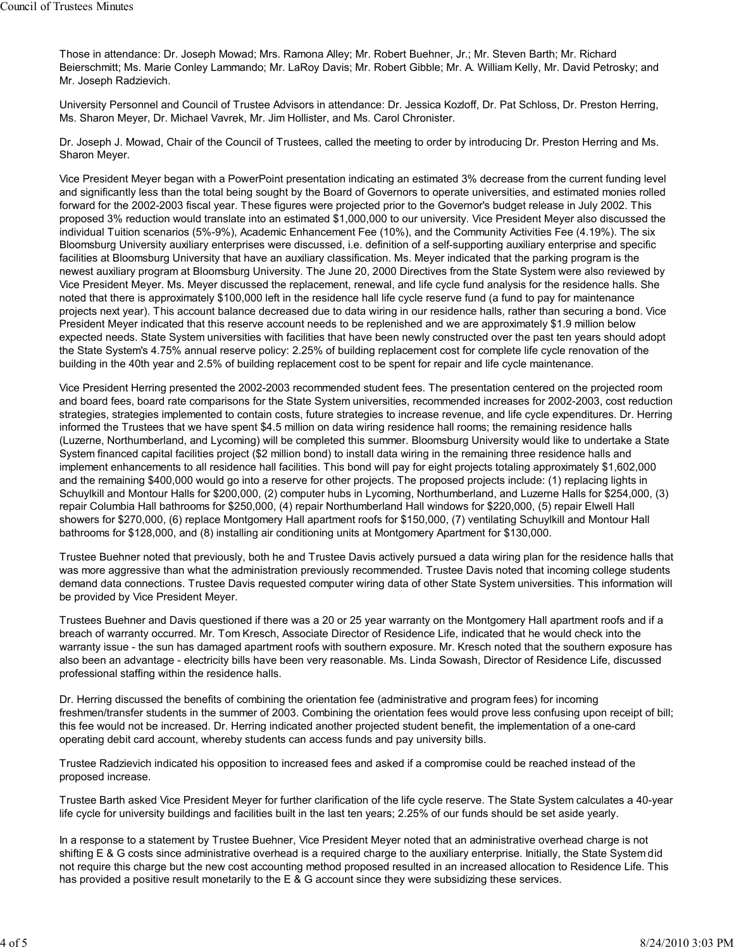Those in attendance: Dr. Joseph Mowad; Mrs. Ramona Alley; Mr. Robert Buehner, Jr.; Mr. Steven Barth; Mr. Richard Beierschmitt; Ms. Marie Conley Lammando; Mr. LaRoy Davis; Mr. Robert Gibble; Mr. A. William Kelly, Mr. David Petrosky; and Mr. Joseph Radzievich.

University Personnel and Council of Trustee Advisors in attendance: Dr. Jessica Kozloff, Dr. Pat Schloss, Dr. Preston Herring, Ms. Sharon Meyer, Dr. Michael Vavrek, Mr. Jim Hollister, and Ms. Carol Chronister.

Dr. Joseph J. Mowad, Chair of the Council of Trustees, called the meeting to order by introducing Dr. Preston Herring and Ms. Sharon Meyer.

Vice President Meyer began with a PowerPoint presentation indicating an estimated 3% decrease from the current funding level and significantly less than the total being sought by the Board of Governors to operate universities, and estimated monies rolled forward for the 2002-2003 fiscal year. These figures were projected prior to the Governor's budget release in July 2002. This proposed 3% reduction would translate into an estimated \$1,000,000 to our university. Vice President Meyer also discussed the individual Tuition scenarios (5%-9%), Academic Enhancement Fee (10%), and the Community Activities Fee (4.19%). The six Bloomsburg University auxiliary enterprises were discussed, i.e. definition of a self-supporting auxiliary enterprise and specific facilities at Bloomsburg University that have an auxiliary classification. Ms. Meyer indicated that the parking program is the newest auxiliary program at Bloomsburg University. The June 20, 2000 Directives from the State System were also reviewed by Vice President Meyer. Ms. Meyer discussed the replacement, renewal, and life cycle fund analysis for the residence halls. She noted that there is approximately \$100,000 left in the residence hall life cycle reserve fund (a fund to pay for maintenance projects next year). This account balance decreased due to data wiring in our residence halls, rather than securing a bond. Vice President Meyer indicated that this reserve account needs to be replenished and we are approximately \$1.9 million below expected needs. State System universities with facilities that have been newly constructed over the past ten years should adopt the State System's 4.75% annual reserve policy: 2.25% of building replacement cost for complete life cycle renovation of the building in the 40th year and 2.5% of building replacement cost to be spent for repair and life cycle maintenance.

Vice President Herring presented the 2002-2003 recommended student fees. The presentation centered on the projected room and board fees, board rate comparisons for the State System universities, recommended increases for 2002-2003, cost reduction strategies, strategies implemented to contain costs, future strategies to increase revenue, and life cycle expenditures. Dr. Herring informed the Trustees that we have spent \$4.5 million on data wiring residence hall rooms; the remaining residence halls (Luzerne, Northumberland, and Lycoming) will be completed this summer. Bloomsburg University would like to undertake a State System financed capital facilities project (\$2 million bond) to install data wiring in the remaining three residence halls and implement enhancements to all residence hall facilities. This bond will pay for eight projects totaling approximately \$1,602,000 and the remaining \$400,000 would go into a reserve for other projects. The proposed projects include: (1) replacing lights in Schuylkill and Montour Halls for \$200,000, (2) computer hubs in Lycoming, Northumberland, and Luzerne Halls for \$254,000, (3) repair Columbia Hall bathrooms for \$250,000, (4) repair Northumberland Hall windows for \$220,000, (5) repair Elwell Hall showers for \$270,000, (6) replace Montgomery Hall apartment roofs for \$150,000, (7) ventilating Schuylkill and Montour Hall bathrooms for \$128,000, and (8) installing air conditioning units at Montgomery Apartment for \$130,000.

Trustee Buehner noted that previously, both he and Trustee Davis actively pursued a data wiring plan for the residence halls that was more aggressive than what the administration previously recommended. Trustee Davis noted that incoming college students demand data connections. Trustee Davis requested computer wiring data of other State System universities. This information will be provided by Vice President Meyer.

Trustees Buehner and Davis questioned if there was a 20 or 25 year warranty on the Montgomery Hall apartment roofs and if a breach of warranty occurred. Mr. Tom Kresch, Associate Director of Residence Life, indicated that he would check into the warranty issue - the sun has damaged apartment roofs with southern exposure. Mr. Kresch noted that the southern exposure has also been an advantage - electricity bills have been very reasonable. Ms. Linda Sowash, Director of Residence Life, discussed professional staffing within the residence halls.

Dr. Herring discussed the benefits of combining the orientation fee (administrative and program fees) for incoming freshmen/transfer students in the summer of 2003. Combining the orientation fees would prove less confusing upon receipt of bill; this fee would not be increased. Dr. Herring indicated another projected student benefit, the implementation of a one-card operating debit card account, whereby students can access funds and pay university bills.

Trustee Radzievich indicated his opposition to increased fees and asked if a compromise could be reached instead of the proposed increase.

Trustee Barth asked Vice President Meyer for further clarification of the life cycle reserve. The State System calculates a 40-year life cycle for university buildings and facilities built in the last ten years; 2.25% of our funds should be set aside yearly.

In a response to a statement by Trustee Buehner, Vice President Meyer noted that an administrative overhead charge is not shifting E & G costs since administrative overhead is a required charge to the auxiliary enterprise. Initially, the State System did not require this charge but the new cost accounting method proposed resulted in an increased allocation to Residence Life. This has provided a positive result monetarily to the E & G account since they were subsidizing these services.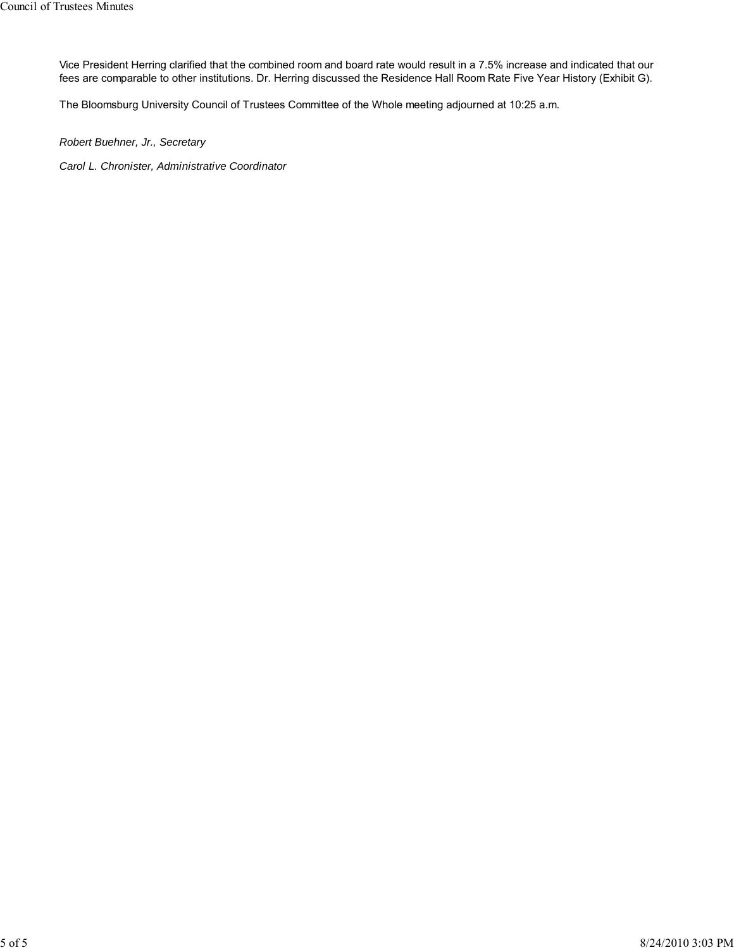Vice President Herring clarified that the combined room and board rate would result in a 7.5% increase and indicated that our fees are comparable to other institutions. Dr. Herring discussed the Residence Hall Room Rate Five Year History (Exhibit G).

The Bloomsburg University Council of Trustees Committee of the Whole meeting adjourned at 10:25 a.m.

*Robert Buehner, Jr., Secretary*

*Carol L. Chronister, Administrative Coordinator*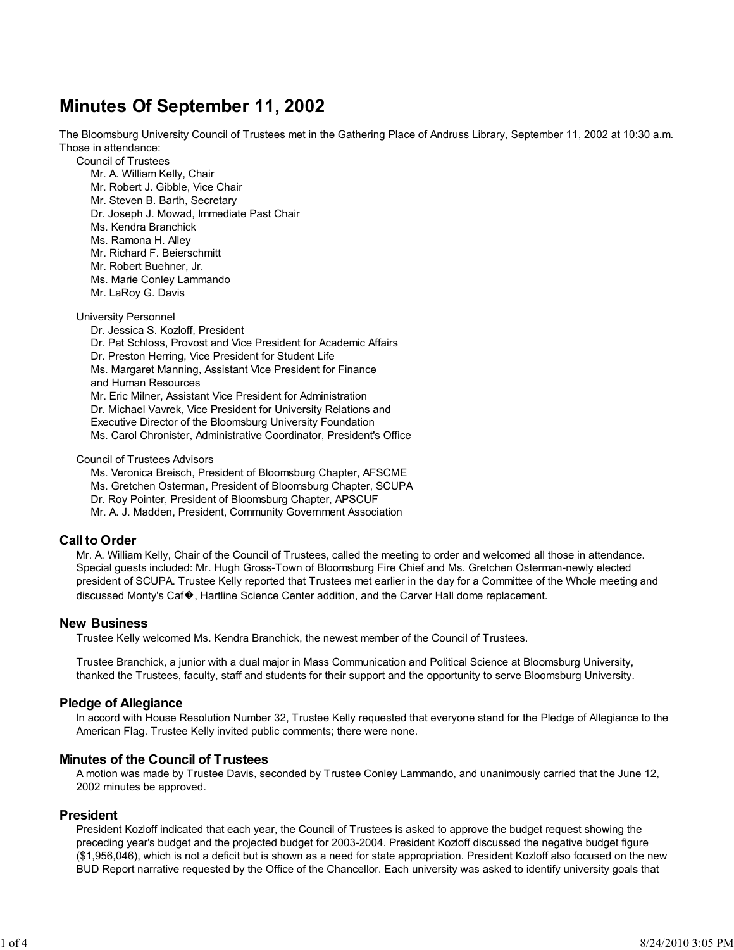# **Minutes Of September 11, 2002**

The Bloomsburg University Council of Trustees met in the Gathering Place of Andruss Library, September 11, 2002 at 10:30 a.m. Those in attendance:

Council of Trustees

Mr. A. William Kelly, Chair Mr. Robert J. Gibble, Vice Chair Mr. Steven B. Barth, Secretary Dr. Joseph J. Mowad, Immediate Past Chair Ms. Kendra Branchick Ms. Ramona H. Alley Mr. Richard F. Beierschmitt Mr. Robert Buehner, Jr. Ms. Marie Conley Lammando Mr. LaRoy G. Davis University Personnel

Dr. Jessica S. Kozloff, President Dr. Pat Schloss, Provost and Vice President for Academic Affairs Dr. Preston Herring, Vice President for Student Life Ms. Margaret Manning, Assistant Vice President for Finance and Human Resources Mr. Eric Milner, Assistant Vice President for Administration Dr. Michael Vavrek, Vice President for University Relations and Executive Director of the Bloomsburg University Foundation Ms. Carol Chronister, Administrative Coordinator, President's Office

Council of Trustees Advisors

Ms. Veronica Breisch, President of Bloomsburg Chapter, AFSCME Ms. Gretchen Osterman, President of Bloomsburg Chapter, SCUPA Dr. Roy Pointer, President of Bloomsburg Chapter, APSCUF Mr. A. J. Madden, President, Community Government Association

# **Call to Order**

Mr. A. William Kelly, Chair of the Council of Trustees, called the meeting to order and welcomed all those in attendance. Special guests included: Mr. Hugh Gross-Town of Bloomsburg Fire Chief and Ms. Gretchen Osterman-newly elected president of SCUPA. Trustee Kelly reported that Trustees met earlier in the day for a Committee of the Whole meeting and discussed Monty's Caf�, Hartline Science Center addition, and the Carver Hall dome replacement.

## **New Business**

Trustee Kelly welcomed Ms. Kendra Branchick, the newest member of the Council of Trustees.

Trustee Branchick, a junior with a dual major in Mass Communication and Political Science at Bloomsburg University, thanked the Trustees, faculty, staff and students for their support and the opportunity to serve Bloomsburg University.

## **Pledge of Allegiance**

In accord with House Resolution Number 32, Trustee Kelly requested that everyone stand for the Pledge of Allegiance to the American Flag. Trustee Kelly invited public comments; there were none.

## **Minutes of the Council of Trustees**

A motion was made by Trustee Davis, seconded by Trustee Conley Lammando, and unanimously carried that the June 12, 2002 minutes be approved.

## **President**

President Kozloff indicated that each year, the Council of Trustees is asked to approve the budget request showing the preceding year's budget and the projected budget for 2003-2004. President Kozloff discussed the negative budget figure (\$1,956,046), which is not a deficit but is shown as a need for state appropriation. President Kozloff also focused on the new BUD Report narrative requested by the Office of the Chancellor. Each university was asked to identify university goals that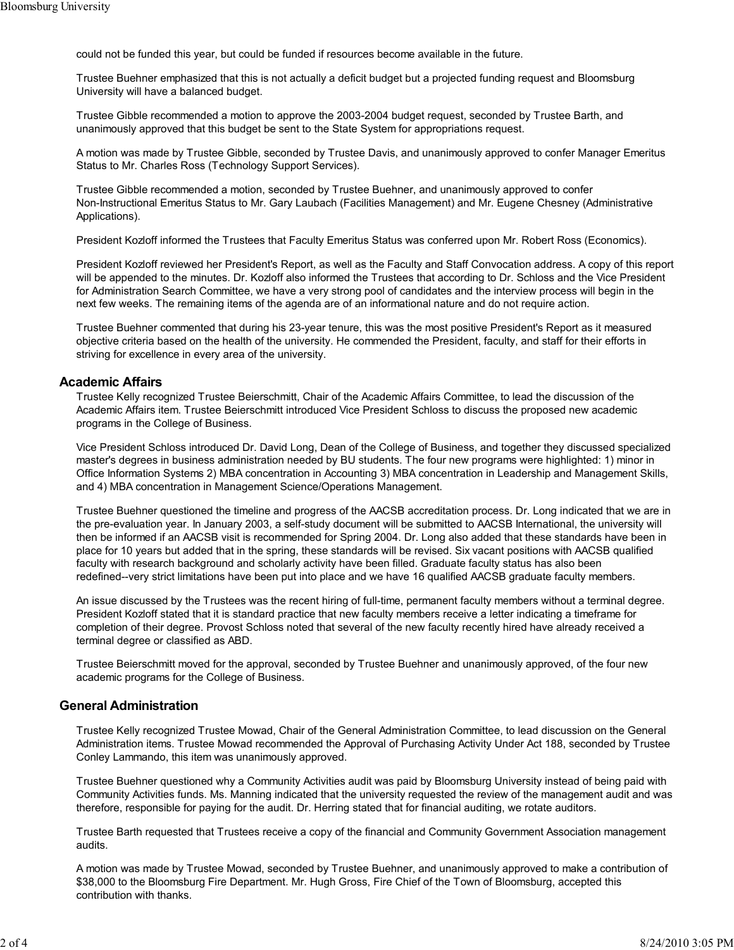could not be funded this year, but could be funded if resources become available in the future.

Trustee Buehner emphasized that this is not actually a deficit budget but a projected funding request and Bloomsburg University will have a balanced budget.

Trustee Gibble recommended a motion to approve the 2003-2004 budget request, seconded by Trustee Barth, and unanimously approved that this budget be sent to the State System for appropriations request.

A motion was made by Trustee Gibble, seconded by Trustee Davis, and unanimously approved to confer Manager Emeritus Status to Mr. Charles Ross (Technology Support Services).

Trustee Gibble recommended a motion, seconded by Trustee Buehner, and unanimously approved to confer Non-Instructional Emeritus Status to Mr. Gary Laubach (Facilities Management) and Mr. Eugene Chesney (Administrative Applications).

President Kozloff informed the Trustees that Faculty Emeritus Status was conferred upon Mr. Robert Ross (Economics).

President Kozloff reviewed her President's Report, as well as the Faculty and Staff Convocation address. A copy of this report will be appended to the minutes. Dr. Kozloff also informed the Trustees that according to Dr. Schloss and the Vice President for Administration Search Committee, we have a very strong pool of candidates and the interview process will begin in the next few weeks. The remaining items of the agenda are of an informational nature and do not require action.

Trustee Buehner commented that during his 23-year tenure, this was the most positive President's Report as it measured objective criteria based on the health of the university. He commended the President, faculty, and staff for their efforts in striving for excellence in every area of the university.

### **Academic Affairs**

Trustee Kelly recognized Trustee Beierschmitt, Chair of the Academic Affairs Committee, to lead the discussion of the Academic Affairs item. Trustee Beierschmitt introduced Vice President Schloss to discuss the proposed new academic programs in the College of Business.

Vice President Schloss introduced Dr. David Long, Dean of the College of Business, and together they discussed specialized master's degrees in business administration needed by BU students. The four new programs were highlighted: 1) minor in Office Information Systems 2) MBA concentration in Accounting 3) MBA concentration in Leadership and Management Skills, and 4) MBA concentration in Management Science/Operations Management.

Trustee Buehner questioned the timeline and progress of the AACSB accreditation process. Dr. Long indicated that we are in the pre-evaluation year. In January 2003, a self-study document will be submitted to AACSB International, the university will then be informed if an AACSB visit is recommended for Spring 2004. Dr. Long also added that these standards have been in place for 10 years but added that in the spring, these standards will be revised. Six vacant positions with AACSB qualified faculty with research background and scholarly activity have been filled. Graduate faculty status has also been redefined--very strict limitations have been put into place and we have 16 qualified AACSB graduate faculty members.

An issue discussed by the Trustees was the recent hiring of full-time, permanent faculty members without a terminal degree. President Kozloff stated that it is standard practice that new faculty members receive a letter indicating a timeframe for completion of their degree. Provost Schloss noted that several of the new faculty recently hired have already received a terminal degree or classified as ABD.

Trustee Beierschmitt moved for the approval, seconded by Trustee Buehner and unanimously approved, of the four new academic programs for the College of Business.

# **General Administration**

Trustee Kelly recognized Trustee Mowad, Chair of the General Administration Committee, to lead discussion on the General Administration items. Trustee Mowad recommended the Approval of Purchasing Activity Under Act 188, seconded by Trustee Conley Lammando, this item was unanimously approved.

Trustee Buehner questioned why a Community Activities audit was paid by Bloomsburg University instead of being paid with Community Activities funds. Ms. Manning indicated that the university requested the review of the management audit and was therefore, responsible for paying for the audit. Dr. Herring stated that for financial auditing, we rotate auditors.

Trustee Barth requested that Trustees receive a copy of the financial and Community Government Association management audits.

A motion was made by Trustee Mowad, seconded by Trustee Buehner, and unanimously approved to make a contribution of \$38,000 to the Bloomsburg Fire Department. Mr. Hugh Gross, Fire Chief of the Town of Bloomsburg, accepted this contribution with thanks.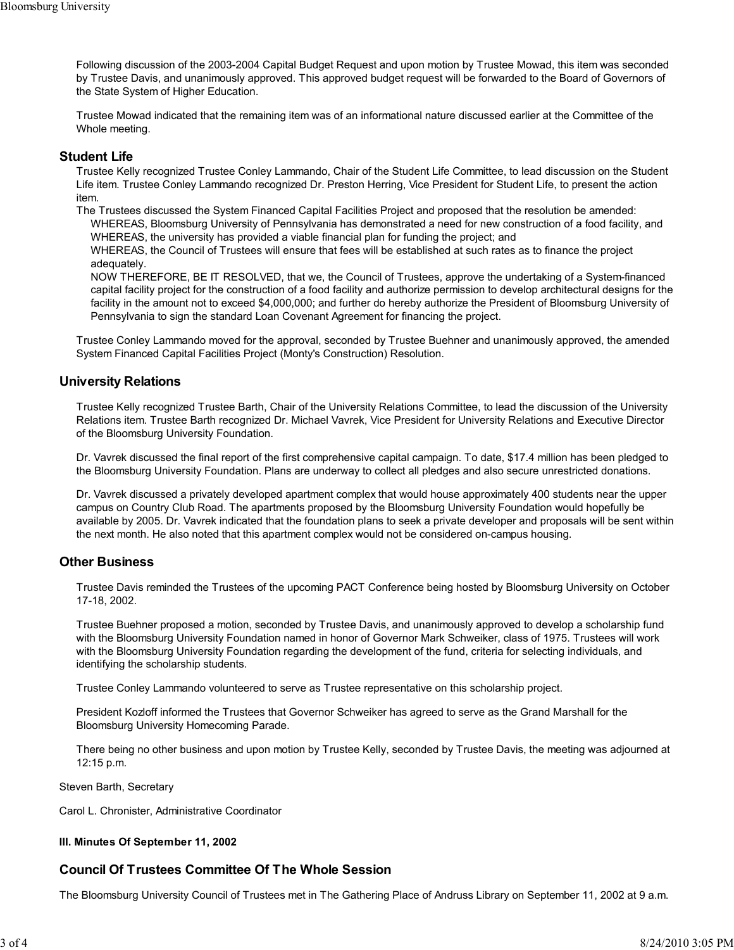Following discussion of the 2003-2004 Capital Budget Request and upon motion by Trustee Mowad, this item was seconded by Trustee Davis, and unanimously approved. This approved budget request will be forwarded to the Board of Governors of the State System of Higher Education.

Trustee Mowad indicated that the remaining item was of an informational nature discussed earlier at the Committee of the Whole meeting.

## **Student Life**

Trustee Kelly recognized Trustee Conley Lammando, Chair of the Student Life Committee, to lead discussion on the Student Life item. Trustee Conley Lammando recognized Dr. Preston Herring, Vice President for Student Life, to present the action item.

The Trustees discussed the System Financed Capital Facilities Project and proposed that the resolution be amended: WHEREAS, Bloomsburg University of Pennsylvania has demonstrated a need for new construction of a food facility, and WHEREAS, the university has provided a viable financial plan for funding the project; and

WHEREAS, the Council of Trustees will ensure that fees will be established at such rates as to finance the project adequately.

NOW THEREFORE, BE IT RESOLVED, that we, the Council of Trustees, approve the undertaking of a System-financed capital facility project for the construction of a food facility and authorize permission to develop architectural designs for the facility in the amount not to exceed \$4,000,000; and further do hereby authorize the President of Bloomsburg University of Pennsylvania to sign the standard Loan Covenant Agreement for financing the project.

Trustee Conley Lammando moved for the approval, seconded by Trustee Buehner and unanimously approved, the amended System Financed Capital Facilities Project (Monty's Construction) Resolution.

# **University Relations**

Trustee Kelly recognized Trustee Barth, Chair of the University Relations Committee, to lead the discussion of the University Relations item. Trustee Barth recognized Dr. Michael Vavrek, Vice President for University Relations and Executive Director of the Bloomsburg University Foundation.

Dr. Vavrek discussed the final report of the first comprehensive capital campaign. To date, \$17.4 million has been pledged to the Bloomsburg University Foundation. Plans are underway to collect all pledges and also secure unrestricted donations.

Dr. Vavrek discussed a privately developed apartment complex that would house approximately 400 students near the upper campus on Country Club Road. The apartments proposed by the Bloomsburg University Foundation would hopefully be available by 2005. Dr. Vavrek indicated that the foundation plans to seek a private developer and proposals will be sent within the next month. He also noted that this apartment complex would not be considered on-campus housing.

# **Other Business**

Trustee Davis reminded the Trustees of the upcoming PACT Conference being hosted by Bloomsburg University on October 17-18, 2002.

Trustee Buehner proposed a motion, seconded by Trustee Davis, and unanimously approved to develop a scholarship fund with the Bloomsburg University Foundation named in honor of Governor Mark Schweiker, class of 1975. Trustees will work with the Bloomsburg University Foundation regarding the development of the fund, criteria for selecting individuals, and identifying the scholarship students.

Trustee Conley Lammando volunteered to serve as Trustee representative on this scholarship project.

President Kozloff informed the Trustees that Governor Schweiker has agreed to serve as the Grand Marshall for the Bloomsburg University Homecoming Parade.

There being no other business and upon motion by Trustee Kelly, seconded by Trustee Davis, the meeting was adjourned at 12:15 p.m.

Steven Barth, Secretary

Carol L. Chronister, Administrative Coordinator

## **III. Minutes Of September 11, 2002**

# **Council Of Trustees Committee Of The Whole Session**

The Bloomsburg University Council of Trustees met in The Gathering Place of Andruss Library on September 11, 2002 at 9 a.m.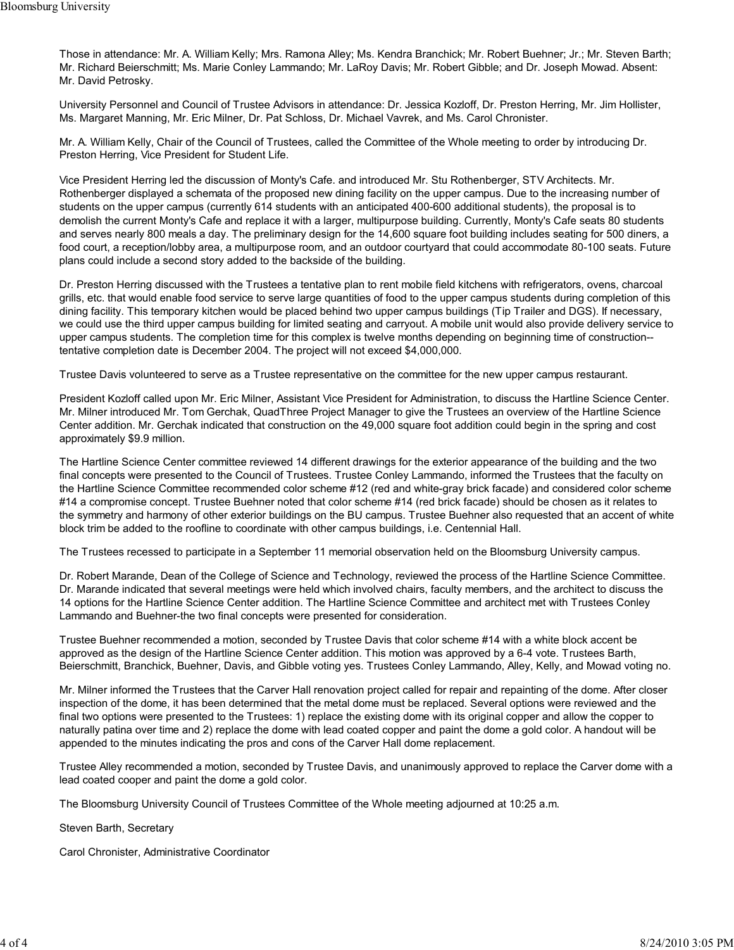Those in attendance: Mr. A. William Kelly; Mrs. Ramona Alley; Ms. Kendra Branchick; Mr. Robert Buehner; Jr.; Mr. Steven Barth; Mr. Richard Beierschmitt; Ms. Marie Conley Lammando; Mr. LaRoy Davis; Mr. Robert Gibble; and Dr. Joseph Mowad. Absent: Mr. David Petrosky.

University Personnel and Council of Trustee Advisors in attendance: Dr. Jessica Kozloff, Dr. Preston Herring, Mr. Jim Hollister, Ms. Margaret Manning, Mr. Eric Milner, Dr. Pat Schloss, Dr. Michael Vavrek, and Ms. Carol Chronister.

Mr. A. William Kelly, Chair of the Council of Trustees, called the Committee of the Whole meeting to order by introducing Dr. Preston Herring, Vice President for Student Life.

Vice President Herring led the discussion of Monty's Cafe. and introduced Mr. Stu Rothenberger, STV Architects. Mr. Rothenberger displayed a schemata of the proposed new dining facility on the upper campus. Due to the increasing number of students on the upper campus (currently 614 students with an anticipated 400-600 additional students), the proposal is to demolish the current Monty's Cafe and replace it with a larger, multipurpose building. Currently, Monty's Cafe seats 80 students and serves nearly 800 meals a day. The preliminary design for the 14,600 square foot building includes seating for 500 diners, a food court, a reception/lobby area, a multipurpose room, and an outdoor courtyard that could accommodate 80-100 seats. Future plans could include a second story added to the backside of the building.

Dr. Preston Herring discussed with the Trustees a tentative plan to rent mobile field kitchens with refrigerators, ovens, charcoal grills, etc. that would enable food service to serve large quantities of food to the upper campus students during completion of this dining facility. This temporary kitchen would be placed behind two upper campus buildings (Tip Trailer and DGS). If necessary, we could use the third upper campus building for limited seating and carryout. A mobile unit would also provide delivery service to upper campus students. The completion time for this complex is twelve months depending on beginning time of construction- tentative completion date is December 2004. The project will not exceed \$4,000,000.

Trustee Davis volunteered to serve as a Trustee representative on the committee for the new upper campus restaurant.

President Kozloff called upon Mr. Eric Milner, Assistant Vice President for Administration, to discuss the Hartline Science Center. Mr. Milner introduced Mr. Tom Gerchak, QuadThree Project Manager to give the Trustees an overview of the Hartline Science Center addition. Mr. Gerchak indicated that construction on the 49,000 square foot addition could begin in the spring and cost approximately \$9.9 million.

The Hartline Science Center committee reviewed 14 different drawings for the exterior appearance of the building and the two final concepts were presented to the Council of Trustees. Trustee Conley Lammando, informed the Trustees that the faculty on the Hartline Science Committee recommended color scheme #12 (red and white-gray brick facade) and considered color scheme #14 a compromise concept. Trustee Buehner noted that color scheme #14 (red brick facade) should be chosen as it relates to the symmetry and harmony of other exterior buildings on the BU campus. Trustee Buehner also requested that an accent of white block trim be added to the roofline to coordinate with other campus buildings, i.e. Centennial Hall.

The Trustees recessed to participate in a September 11 memorial observation held on the Bloomsburg University campus.

Dr. Robert Marande, Dean of the College of Science and Technology, reviewed the process of the Hartline Science Committee. Dr. Marande indicated that several meetings were held which involved chairs, faculty members, and the architect to discuss the 14 options for the Hartline Science Center addition. The Hartline Science Committee and architect met with Trustees Conley Lammando and Buehner-the two final concepts were presented for consideration.

Trustee Buehner recommended a motion, seconded by Trustee Davis that color scheme #14 with a white block accent be approved as the design of the Hartline Science Center addition. This motion was approved by a 6-4 vote. Trustees Barth, Beierschmitt, Branchick, Buehner, Davis, and Gibble voting yes. Trustees Conley Lammando, Alley, Kelly, and Mowad voting no.

Mr. Milner informed the Trustees that the Carver Hall renovation project called for repair and repainting of the dome. After closer inspection of the dome, it has been determined that the metal dome must be replaced. Several options were reviewed and the final two options were presented to the Trustees: 1) replace the existing dome with its original copper and allow the copper to naturally patina over time and 2) replace the dome with lead coated copper and paint the dome a gold color. A handout will be appended to the minutes indicating the pros and cons of the Carver Hall dome replacement.

Trustee Alley recommended a motion, seconded by Trustee Davis, and unanimously approved to replace the Carver dome with a lead coated cooper and paint the dome a gold color.

The Bloomsburg University Council of Trustees Committee of the Whole meeting adjourned at 10:25 a.m.

Steven Barth, Secretary

Carol Chronister, Administrative Coordinator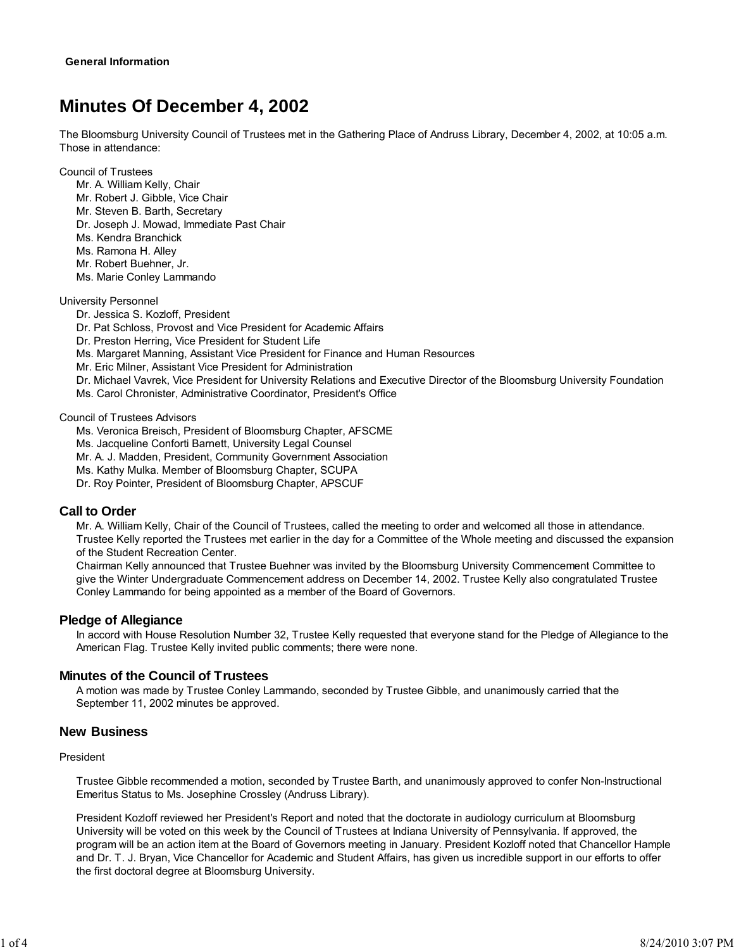# **Minutes Of December 4, 2002**

The Bloomsburg University Council of Trustees met in the Gathering Place of Andruss Library, December 4, 2002, at 10:05 a.m. Those in attendance:

Council of Trustees

Mr. A. William Kelly, Chair Mr. Robert J. Gibble, Vice Chair Mr. Steven B. Barth, Secretary Dr. Joseph J. Mowad, Immediate Past Chair Ms. Kendra Branchick Ms. Ramona H. Alley Mr. Robert Buehner, Jr. Ms. Marie Conley Lammando

## University Personnel

Dr. Jessica S. Kozloff, President

Dr. Pat Schloss, Provost and Vice President for Academic Affairs

Dr. Preston Herring, Vice President for Student Life

Ms. Margaret Manning, Assistant Vice President for Finance and Human Resources

Mr. Eric Milner, Assistant Vice President for Administration

Dr. Michael Vavrek, Vice President for University Relations and Executive Director of the Bloomsburg University Foundation Ms. Carol Chronister, Administrative Coordinator, President's Office

Council of Trustees Advisors

Ms. Veronica Breisch, President of Bloomsburg Chapter, AFSCME

Ms. Jacqueline Conforti Barnett, University Legal Counsel

Mr. A. J. Madden, President, Community Government Association

Ms. Kathy Mulka. Member of Bloomsburg Chapter, SCUPA

Dr. Roy Pointer, President of Bloomsburg Chapter, APSCUF

## **Call to Order**

Mr. A. William Kelly, Chair of the Council of Trustees, called the meeting to order and welcomed all those in attendance. Trustee Kelly reported the Trustees met earlier in the day for a Committee of the Whole meeting and discussed the expansion of the Student Recreation Center.

Chairman Kelly announced that Trustee Buehner was invited by the Bloomsburg University Commencement Committee to give the Winter Undergraduate Commencement address on December 14, 2002. Trustee Kelly also congratulated Trustee Conley Lammando for being appointed as a member of the Board of Governors.

## **Pledge of Allegiance**

In accord with House Resolution Number 32, Trustee Kelly requested that everyone stand for the Pledge of Allegiance to the American Flag. Trustee Kelly invited public comments; there were none.

# **Minutes of the Council of Trustees**

A motion was made by Trustee Conley Lammando, seconded by Trustee Gibble, and unanimously carried that the September 11, 2002 minutes be approved.

## **New Business**

### President

Trustee Gibble recommended a motion, seconded by Trustee Barth, and unanimously approved to confer Non-Instructional Emeritus Status to Ms. Josephine Crossley (Andruss Library).

President Kozloff reviewed her President's Report and noted that the doctorate in audiology curriculum at Bloomsburg University will be voted on this week by the Council of Trustees at Indiana University of Pennsylvania. If approved, the program will be an action item at the Board of Governors meeting in January. President Kozloff noted that Chancellor Hample and Dr. T. J. Bryan, Vice Chancellor for Academic and Student Affairs, has given us incredible support in our efforts to offer the first doctoral degree at Bloomsburg University.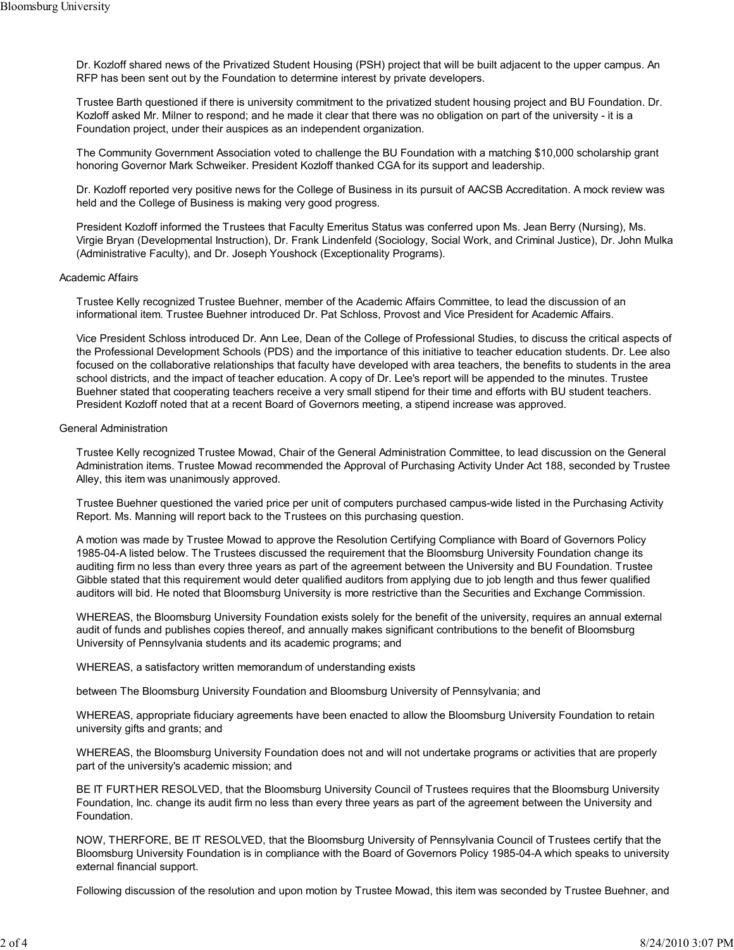Dr. Kozloff shared news of the Privatized Student Housing (PSH) project that will be built adjacent to the upper campus. An RFP has been sent out by the Foundation to determine interest by private developers.

Trustee Barth questioned if there is university commitment to the privatized student housing project and BU Foundation. Dr. Kozloff asked Mr. Milner to respond; and he made it clear that there was no obligation on part of the university - it is a Foundation project, under their auspices as an independent organization.

The Community Government Association voted to challenge the BU Foundation with a matching \$10,000 scholarship grant honoring Governor Mark Schweiker. President Kozloff thanked CGA for its support and leadership.

Dr. Kozloff reported very positive news for the College of Business in its pursuit of AACSB Accreditation. A mock review was held and the College of Business is making very good progress.

President Kozloff informed the Trustees that Faculty Emeritus Status was conferred upon Ms. Jean Berry (Nursing), Ms. Virgie Bryan (Developmental Instruction), Dr. Frank Lindenfeld (Sociology, Social Work, and Criminal Justice), Dr. John Mulka (Administrative Faculty), and Dr. Joseph Youshock (Exceptionality Programs).

#### Academic Affairs

Trustee Kelly recognized Trustee Buehner, member of the Academic Affairs Committee, to lead the discussion of an informational item. Trustee Buehner introduced Dr. Pat Schloss, Provost and Vice President for Academic Affairs.

Vice President Schloss introduced Dr. Ann Lee, Dean of the College of Professional Studies, to discuss the critical aspects of the Professional Development Schools (PDS) and the importance of this initiative to teacher education students. Dr. Lee also focused on the collaborative relationships that faculty have developed with area teachers, the benefits to students in the area school districts, and the impact of teacher education. A copy of Dr. Lee's report will be appended to the minutes. Trustee Buehner stated that cooperating teachers receive a very small stipend for their time and efforts with BU student teachers. President Kozloff noted that at a recent Board of Governors meeting, a stipend increase was approved.

### General Administration

Trustee Kelly recognized Trustee Mowad, Chair of the General Administration Committee, to lead discussion on the General Administration items. Trustee Mowad recommended the Approval of Purchasing Activity Under Act 188, seconded by Trustee Alley, this item was unanimously approved.

Trustee Buehner questioned the varied price per unit of computers purchased campus-wide listed in the Purchasing Activity Report. Ms. Manning will report back to the Trustees on this purchasing question.

A motion was made by Trustee Mowad to approve the Resolution Certifying Compliance with Board of Governors Policy 1985-04-A listed below. The Trustees discussed the requirement that the Bloomsburg University Foundation change its auditing firm no less than every three years as part of the agreement between the University and BU Foundation. Trustee Gibble stated that this requirement would deter qualified auditors from applying due to job length and thus fewer qualified auditors will bid. He noted that Bloomsburg University is more restrictive than the Securities and Exchange Commission.

WHEREAS, the Bloomsburg University Foundation exists solely for the benefit of the university, requires an annual external audit of funds and publishes copies thereof, and annually makes significant contributions to the benefit of Bloomsburg University of Pennsylvania students and its academic programs; and

WHEREAS, a satisfactory written memorandum of understanding exists

between The Bloomsburg University Foundation and Bloomsburg University of Pennsylvania; and

WHEREAS, appropriate fiduciary agreements have been enacted to allow the Bloomsburg University Foundation to retain university gifts and grants; and

WHEREAS, the Bloomsburg University Foundation does not and will not undertake programs or activities that are properly part of the university's academic mission; and

BE IT FURTHER RESOLVED, that the Bloomsburg University Council of Trustees requires that the Bloomsburg University Foundation, Inc. change its audit firm no less than every three years as part of the agreement between the University and Foundation.

NOW, THERFORE, BE IT RESOLVED, that the Bloomsburg University of Pennsylvania Council of Trustees certify that the Bloomsburg University Foundation is in compliance with the Board of Governors Policy 1985-04-A which speaks to university external financial support.

Following discussion of the resolution and upon motion by Trustee Mowad, this item was seconded by Trustee Buehner, and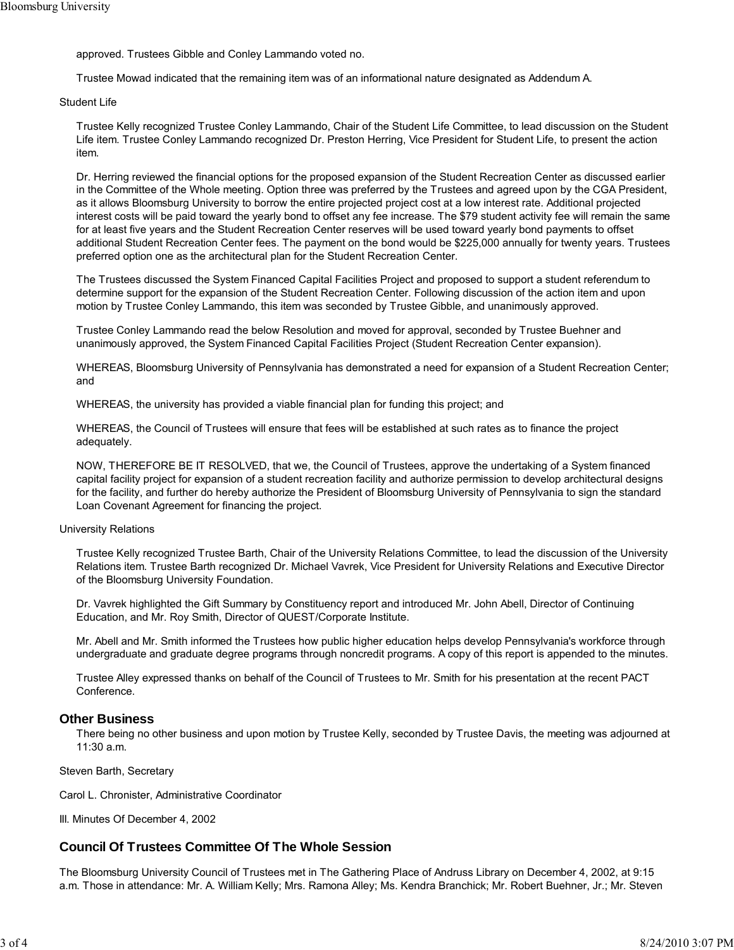approved. Trustees Gibble and Conley Lammando voted no.

Trustee Mowad indicated that the remaining item was of an informational nature designated as Addendum A.

Student Life

Trustee Kelly recognized Trustee Conley Lammando, Chair of the Student Life Committee, to lead discussion on the Student Life item. Trustee Conley Lammando recognized Dr. Preston Herring, Vice President for Student Life, to present the action item.

Dr. Herring reviewed the financial options for the proposed expansion of the Student Recreation Center as discussed earlier in the Committee of the Whole meeting. Option three was preferred by the Trustees and agreed upon by the CGA President, as it allows Bloomsburg University to borrow the entire projected project cost at a low interest rate. Additional projected interest costs will be paid toward the yearly bond to offset any fee increase. The \$79 student activity fee will remain the same for at least five years and the Student Recreation Center reserves will be used toward yearly bond payments to offset additional Student Recreation Center fees. The payment on the bond would be \$225,000 annually for twenty years. Trustees preferred option one as the architectural plan for the Student Recreation Center.

The Trustees discussed the System Financed Capital Facilities Project and proposed to support a student referendum to determine support for the expansion of the Student Recreation Center. Following discussion of the action item and upon motion by Trustee Conley Lammando, this item was seconded by Trustee Gibble, and unanimously approved.

Trustee Conley Lammando read the below Resolution and moved for approval, seconded by Trustee Buehner and unanimously approved, the System Financed Capital Facilities Project (Student Recreation Center expansion).

WHEREAS, Bloomsburg University of Pennsylvania has demonstrated a need for expansion of a Student Recreation Center; and

WHEREAS, the university has provided a viable financial plan for funding this project; and

WHEREAS, the Council of Trustees will ensure that fees will be established at such rates as to finance the project adequately.

NOW, THEREFORE BE IT RESOLVED, that we, the Council of Trustees, approve the undertaking of a System financed capital facility project for expansion of a student recreation facility and authorize permission to develop architectural designs for the facility, and further do hereby authorize the President of Bloomsburg University of Pennsylvania to sign the standard Loan Covenant Agreement for financing the project.

#### University Relations

Trustee Kelly recognized Trustee Barth, Chair of the University Relations Committee, to lead the discussion of the University Relations item. Trustee Barth recognized Dr. Michael Vavrek, Vice President for University Relations and Executive Director of the Bloomsburg University Foundation.

Dr. Vavrek highlighted the Gift Summary by Constituency report and introduced Mr. John Abell, Director of Continuing Education, and Mr. Roy Smith, Director of QUEST/Corporate Institute.

Mr. Abell and Mr. Smith informed the Trustees how public higher education helps develop Pennsylvania's workforce through undergraduate and graduate degree programs through noncredit programs. A copy of this report is appended to the minutes.

Trustee Alley expressed thanks on behalf of the Council of Trustees to Mr. Smith for his presentation at the recent PACT Conference.

## **Other Business**

There being no other business and upon motion by Trustee Kelly, seconded by Trustee Davis, the meeting was adjourned at 11:30 a.m.

Steven Barth, Secretary

Carol L. Chronister, Administrative Coordinator

III. Minutes Of December 4, 2002

# **Council Of Trustees Committee Of The Whole Session**

The Bloomsburg University Council of Trustees met in The Gathering Place of Andruss Library on December 4, 2002, at 9:15 a.m. Those in attendance: Mr. A. William Kelly; Mrs. Ramona Alley; Ms. Kendra Branchick; Mr. Robert Buehner, Jr.; Mr. Steven